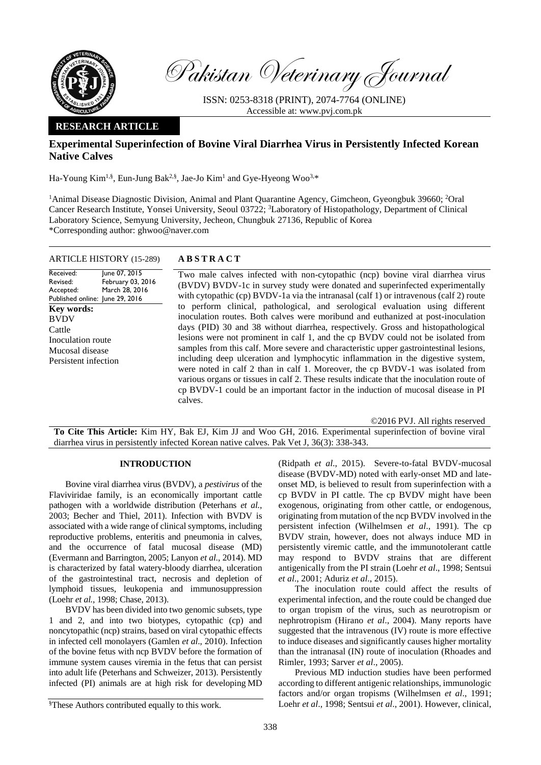

Pakistan Veterinary Journal

ISSN: 0253-8318 (PRINT), 2074-7764 (ONLINE) Accessible at: [www.pvj.com.pk](http://www.pvj.com.pk/)

# **RESEARCH ARTICLE**

# **Experimental Superinfection of Bovine Viral Diarrhea Virus in Persistently Infected Korean Native Calves**

Ha-Young Kim<sup>1,§</sup>, Eun-Jung Bak<sup>2,§</sup>, Jae-Jo Kim<sup>1</sup> and Gye-Hyeong Woo<sup>3,\*</sup>

<sup>1</sup>Animal Disease Diagnostic Division, Animal and Plant Quarantine Agency, Gimcheon, Gyeongbuk 39660; <sup>2</sup>Oral Cancer Research Institute, Yonsei University, Seoul 03722; <sup>3</sup>Laboratory of Histopathology, Department of Clinical Laboratory Science, Semyung University, Jecheon, Chungbuk 27136, Republic of Korea \*Corresponding author: ghwoo@naver.com

# ARTICLE HISTORY (15-289) **A B S T R A C T**

Received: Revised: Accepted: Published online: June 29, 2016 June 07, 2015 February 03, 2016 March 28, 2016 **Key words:**  BVDV Cattle Inoculation route Mucosal disease Persistent infection

Two male calves infected with non-cytopathic (ncp) bovine viral diarrhea virus (BVDV) BVDV-1c in survey study were donated and superinfected experimentally with cytopathic (cp)  $BVDV-1a$  via the intranasal (calf 1) or intravenous (calf 2) route to perform clinical, pathological, and serological evaluation using different inoculation routes. Both calves were moribund and euthanized at post-inoculation days (PID) 30 and 38 without diarrhea, respectively. Gross and histopathological lesions were not prominent in calf 1, and the cp BVDV could not be isolated from samples from this calf. More severe and characteristic upper gastrointestinal lesions, including deep ulceration and lymphocytic inflammation in the digestive system, were noted in calf 2 than in calf 1. Moreover, the cp BVDV-1 was isolated from various organs or tissues in calf 2. These results indicate that the inoculation route of cp BVDV-1 could be an important factor in the induction of mucosal disease in PI calves.

©2016 PVJ. All rights reserved

**To Cite This Article:** Kim HY, Bak EJ, Kim JJ and Woo GH, 2016. Experimental superinfection of bovine viral diarrhea virus in persistently infected Korean native calves. Pak Vet J, 36(3): 338-343.

## **INTRODUCTION**

Bovine viral diarrhea virus (BVDV), a *pestivirus* of the Flaviviridae family, is an economically important cattle pathogen with a worldwide distribution (Peterhans *et al.*, 2003; Becher and Thiel, 2011). Infection with BVDV is associated with a wide range of clinical symptoms, including reproductive problems, enteritis and pneumonia in calves, and the occurrence of fatal mucosal disease (MD) (Evermann and Barrington, 2005; Lanyon *et al*., 2014). MD is characterized by fatal watery-bloody diarrhea, ulceration of the gastrointestinal tract, necrosis and depletion of lymphoid tissues, leukopenia and immunosuppression (Loehr *et al.*, 1998; Chase, 2013).

BVDV has been divided into two genomic subsets, type 1 and 2, and into two biotypes, cytopathic (cp) and noncytopathic (ncp) strains, based on viral cytopathic effects in infected cell monolayers (Gamlen *et al*., 2010). Infection of the bovine fetus with ncp BVDV before the formation of immune system causes viremia in the fetus that can persist into adult life (Peterhans and Schweizer, 2013). Persistently infected (PI) animals are at high risk for developing MD (Ridpath *et al*., 2015). Severe-to-fatal BVDV-mucosal disease (BVDV-MD) noted with early-onset MD and lateonset MD, is believed to result from superinfection with a cp BVDV in PI cattle. The cp BVDV might have been exogenous, originating from other cattle, or endogenous, originating from mutation of the ncp BVDV involved in the persistent infection (Wilhelmsen *et al*., 1991). The cp BVDV strain, however, does not always induce MD in persistently viremic cattle, and the immunotolerant cattle may respond to BVDV strains that are different antigenically from the PI strain (Loehr *et al*., 1998; Sentsui *et al*., 2001; Aduriz *et al*., 2015).

The inoculation route could affect the results of experimental infection, and the route could be changed due to organ tropism of the virus, such as neurotropism or nephrotropism (Hirano *et al*., 2004). Many reports have suggested that the intravenous (IV) route is more effective to induce diseases and significantly causes higher mortality than the intranasal (IN) route of inoculation (Rhoades and Rimler, 1993; Sarver *et al*., 2005).

Previous MD induction studies have been performed according to different antigenic relationships, immunologic factors and/or organ tropisms (Wilhelmsen *et al*., 1991; Loehr *et al*., 1998; Sentsui *et al*., 2001). However, clinical,

<sup>§</sup>These Authors contributed equally to this work.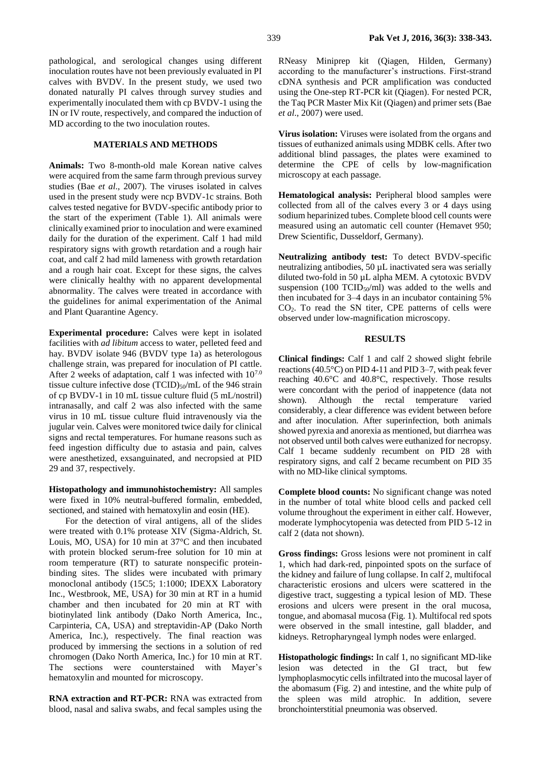pathological, and serological changes using different inoculation routes have not been previously evaluated in PI calves with BVDV. In the present study, we used two donated naturally PI calves through survey studies and experimentally inoculated them with cp BVDV-1 using the IN or IV route, respectively, and compared the induction of MD according to the two inoculation routes.

## **MATERIALS AND METHODS**

**Animals:** Two 8-month-old male Korean native calves were acquired from the same farm through previous survey studies (Bae *et al*., 2007). The viruses isolated in calves used in the present study were ncp BVDV-1c strains. Both calves tested negative for BVDV-specific antibody prior to the start of the experiment (Table 1). All animals were clinically examined prior to inoculation and were examined daily for the duration of the experiment. Calf 1 had mild respiratory signs with growth retardation and a rough hair coat, and calf 2 had mild lameness with growth retardation and a rough hair coat. Except for these signs, the calves were clinically healthy with no apparent developmental abnormality. The calves were treated in accordance with the guidelines for animal experimentation of the Animal and Plant Quarantine Agency.

**Experimental procedure:** Calves were kept in isolated facilities with *ad libitum* access to water, pelleted feed and hay. BVDV isolate 946 (BVDV type 1a) as heterologous challenge strain, was prepared for inoculation of PI cattle. After 2 weeks of adaptation, calf 1 was infected with 107.0 tissue culture infective dose  $(TCID)_{50}/mL$  of the 946 strain of cp BVDV-1 in 10 mL tissue culture fluid (5 mL/nostril) intranasally, and calf 2 was also infected with the same virus in 10 mL tissue culture fluid intravenously via the jugular vein. Calves were monitored twice daily for clinical signs and rectal temperatures. For humane reasons such as feed ingestion difficulty due to astasia and pain, calves were anesthetized, exsanguinated, and necropsied at PID 29 and 37, respectively.

**Histopathology and immunohistochemistry:** All samples were fixed in 10% neutral-buffered formalin, embedded, sectioned, and stained with hematoxylin and eosin (HE).

For the detection of viral antigens, all of the slides were treated with 0.1% protease XIV (Sigma-Aldrich, St. Louis, MO, USA) for 10 min at 37°C and then incubated with protein blocked serum-free solution for 10 min at room temperature (RT) to saturate nonspecific proteinbinding sites. The slides were incubated with primary monoclonal antibody (15C5; 1:1000; IDEXX Laboratory Inc., Westbrook, ME, USA) for 30 min at RT in a humid chamber and then incubated for 20 min at RT with biotinylated link antibody (Dako North America, Inc., Carpinteria, CA, USA) and streptavidin-AP (Dako North America, Inc.), respectively. The final reaction was produced by immersing the sections in a solution of red chromogen (Dako North America, Inc.) for 10 min at RT. The sections were counterstained with Mayer's hematoxylin and mounted for microscopy.

**RNA extraction and RT-PCR:** RNA was extracted from blood, nasal and saliva swabs, and fecal samples using the

RNeasy Miniprep kit (Qiagen, Hilden, Germany) according to the manufacturer's instructions. First-strand cDNA synthesis and PCR amplification was conducted using the One-step RT-PCR kit (Qiagen). For nested PCR, the Taq PCR Master Mix Kit (Qiagen) and primer sets (Bae *et al*., 2007) were used.

**Virus isolation:** Viruses were isolated from the organs and tissues of euthanized animals using MDBK cells. After two additional blind passages, the plates were examined to determine the CPE of cells by low-magnification microscopy at each passage.

**Hematological analysis:** Peripheral blood samples were collected from all of the calves every 3 or 4 days using sodium heparinized tubes. Complete blood cell counts were measured using an automatic cell counter (Hemavet 950; Drew Scientific, Dusseldorf, Germany).

**Neutralizing antibody test:** To detect BVDV-specific neutralizing antibodies, 50 µL inactivated sera was serially diluted two-fold in 50 µL alpha MEM. A cytotoxic BVDV suspension (100 TCID $_{50}$ /ml) was added to the wells and then incubated for 3–4 days in an incubator containing 5% CO2. To read the SN titer, CPE patterns of cells were observed under low-magnification microscopy.

#### **RESULTS**

**Clinical findings:** Calf 1 and calf 2 showed slight febrile reactions (40.5°C) on PID 4-11 and PID 3–7, with peak fever reaching 40.6°C and 40.8°C, respectively. Those results were concordant with the period of inappetence (data not shown). Although the rectal temperature varied considerably, a clear difference was evident between before and after inoculation. After superinfection, both animals showed pyrexia and anorexia as mentioned, but diarrhea was not observed until both calves were euthanized for necropsy. Calf 1 became suddenly recumbent on PID 28 with respiratory signs, and calf 2 became recumbent on PID 35 with no MD-like clinical symptoms.

**Complete blood counts:** No significant change was noted in the number of total white blood cells and packed cell volume throughout the experiment in either calf. However, moderate lymphocytopenia was detected from PID 5-12 in calf 2 (data not shown).

**Gross findings:** Gross lesions were not prominent in calf 1, which had dark-red, pinpointed spots on the surface of the kidney and failure of lung collapse. In calf 2, multifocal characteristic erosions and ulcers were scattered in the digestive tract, suggesting a typical lesion of MD. These erosions and ulcers were present in the oral mucosa, tongue, and abomasal mucosa (Fig. 1). Multifocal red spots were observed in the small intestine, gall bladder, and kidneys. Retropharyngeal lymph nodes were enlarged.

**Histopathologic findings:** In calf 1, no significant MD-like lesion was detected in the GI tract, but few lymphoplasmocytic cells infiltrated into the mucosal layer of the abomasum (Fig. 2) and intestine, and the white pulp of the spleen was mild atrophic. In addition, severe bronchointerstitial pneumonia was observed.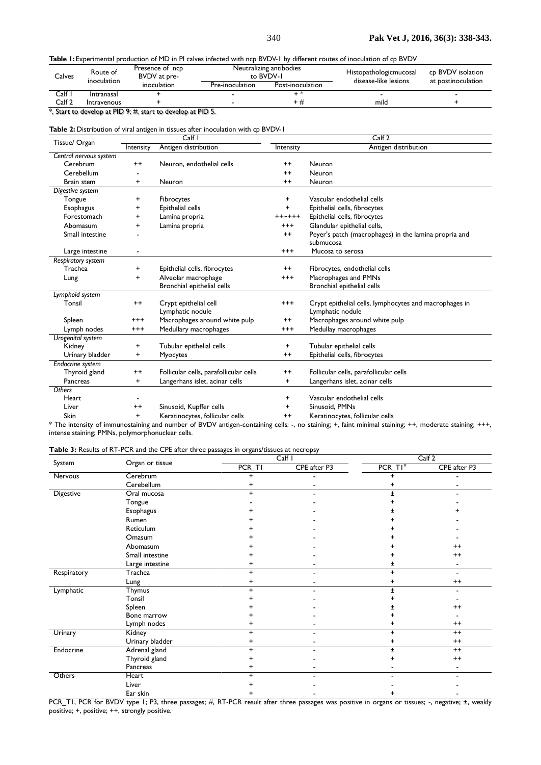#### **Table 1:** Experimental production of MD in PI calves infected with ncp BVDV-1 by different routes of inoculation of cp BVDV

| Calves | Route of<br>inoculation | Presence of ncp<br>BVDV at pre-<br>inoculation |                 | Neutralizing antibodies<br>to BVDV-1 | Histopathologicmucosal<br>disease-like lesions | cp BVDV isolation<br>at postinoculation |
|--------|-------------------------|------------------------------------------------|-----------------|--------------------------------------|------------------------------------------------|-----------------------------------------|
|        |                         |                                                | Pre-inoculation | Post-inoculation                     |                                                |                                         |
| Calf   | Intranasal              |                                                |                 |                                      |                                                |                                         |
| Calf 2 | Intravenous             |                                                |                 | + #                                  | mild                                           |                                         |

\*, Start to develop at PID 9; #, start to develop at PID 5.

### **Table 2:** Distribution of viral antigen in tissues after inoculation with cp BVDV-1

|                        | Calf            |                                           | Calf <sub>2</sub> |                                                                            |  |  |
|------------------------|-----------------|-------------------------------------------|-------------------|----------------------------------------------------------------------------|--|--|
| Tissue/ Organ          | Intensity       | Antigen distribution                      | Intensity         | Antigen distribution                                                       |  |  |
| Central nervous system |                 |                                           |                   |                                                                            |  |  |
| Cerebrum               | $^{++}$         | Neuron, endothelial cells                 | $^{++}$           | Neuron                                                                     |  |  |
| Cerebellum             |                 |                                           | $^{++}$           | Neuron                                                                     |  |  |
| Brain stem             | $\ddot{}$       | Neuron                                    | $^{++}$           | Neuron                                                                     |  |  |
| Digestive system       |                 |                                           |                   |                                                                            |  |  |
| Tongue                 | $\ddot{}$       | Fibrocytes                                | $\ddot{}$         | Vascular endothelial cells                                                 |  |  |
| <b>Esophagus</b>       | +               | Epithelial cells                          | $\ddot{}$         | Epithelial cells, fibrocytes                                               |  |  |
| Forestomach            | $\ddot{}$       | Lamina propria                            | $+ + - + + +$     | Epithelial cells, fibrocytes                                               |  |  |
| Abomasum               | +               | Lamina propria                            | $^{++}$           | Glandular epithelial cells,                                                |  |  |
| Small intestine        |                 |                                           | $^{++}$           | Peyer's patch (macrophages) in the lamina propria and<br>submucosa         |  |  |
| Large intestine        |                 |                                           | $^{++}$           | Mucosa to serosa                                                           |  |  |
| Respiratory system     |                 |                                           |                   |                                                                            |  |  |
| Trachea                | $\ddot{}$       | Epithelial cells, fibrocytes              | $^{\mathrm{+}}$   | Fibrocytes, endothelial cells                                              |  |  |
| Lung                   | $\ddot{}$       | Alveolar macrophage                       | $^{+++}$          | Macrophages and PMNs                                                       |  |  |
|                        |                 | Bronchial epithelial cells                |                   | Bronchial epithelial cells                                                 |  |  |
| Lymphoid system        |                 |                                           |                   |                                                                            |  |  |
| Tonsil                 | $^{++}$         | Crypt epithelial cell<br>Lymphatic nodule | $^{+++}$          | Crypt epithelial cells, lymphocytes and macrophages in<br>Lymphatic nodule |  |  |
| Spleen                 | $^{++}$         | Macrophages around white pulp             | $^{++}$           | Macrophages around white pulp                                              |  |  |
| Lymph nodes            | $^{+++}$        | Medullary macrophages                     | $^{++}$           | Medullay macrophages                                                       |  |  |
| Urogenital system      |                 |                                           |                   |                                                                            |  |  |
| Kidney                 | +               | Tubular epithelial cells                  | $\ddot{}$         | Tubular epithelial cells                                                   |  |  |
| Urinary bladder        | $\ddot{}$       | Myocytes                                  | $++$              | Epithelial cells, fibrocytes                                               |  |  |
| Endocrine system       |                 |                                           |                   |                                                                            |  |  |
| Thyroid gland          | $^{++}$         | Follicular cells, parafollicular cells    | $^{++}$           | Follicular cells, parafollicular cells                                     |  |  |
| Pancreas               | +               | Langerhans islet, acinar cells            | $\ddot{}$         | Langerhans islet, acinar cells                                             |  |  |
| Others                 |                 |                                           |                   |                                                                            |  |  |
| Heart                  |                 |                                           | +                 | Vascular endothelial cells                                                 |  |  |
| Liver                  | $^{\mathrm{+}}$ | Sinusoid, Kupffer cells                   | +                 | Sinusoid, PMNs                                                             |  |  |
| <b>Skin</b>            | $\ddot{}$       | Keratinocytes, follicular cells           | $^{\mathrm{+}}$   | Keratinocytes, follicular cells                                            |  |  |

\* The intensity of immunostaining and number of BVDV antigen-containing cells: -, no staining; +, faint minimal staining; ++, moderate staining; +++, intense staining; PMNs, polymorphonuclear cells.

## **Table 3:** Results of RT-PCR and the CPE after three passages in organs/tissues at necropsy

|             |                 |           | Calf I       | Calf 2     |              |
|-------------|-----------------|-----------|--------------|------------|--------------|
| System      | Organ or tissue | PCR_TI    | CPE after P3 | $PCR_$ TI# | CPE after P3 |
| Nervous     | Cerebrum        |           |              |            |              |
|             | Cerebellum      |           |              |            |              |
| Digestive   | Oral mucosa     |           |              |            |              |
|             | Tongue          |           |              |            |              |
|             | Esophagus       |           |              |            |              |
|             | Rumen           |           |              |            |              |
|             | Reticulum       |           |              |            |              |
|             | Omasum          |           |              |            |              |
|             | Abomasum        |           |              |            | $^{++}$      |
|             | Small intestine |           |              |            | $++$         |
|             | Large intestine |           |              | ±          |              |
| Respiratory | Trachea         | $\ddot{}$ |              | $\ddot{}$  |              |
|             | Lung            | +         |              |            | $++$         |
| Lymphatic   | <b>Thymus</b>   | ÷.        |              |            |              |
|             | Tonsil          |           |              |            |              |
|             | Spleen          |           |              |            | $^{++}$      |
|             | Bone marrow     |           |              |            |              |
|             | Lymph nodes     |           |              |            | $^{++}$      |
| Urinary     | Kidney          | $\ddot{}$ |              | $\ddot{}$  | $^{++}$      |
|             | Urinary bladder |           |              |            | $++$         |
| Endocrine   | Adrenal gland   |           |              | Ŧ          | $++$         |
|             | Thyroid gland   |           |              |            | $++$         |
|             | Pancreas        |           |              |            |              |
| Others      | Heart           |           |              |            |              |
|             | Liver           |           |              |            |              |
|             | Ear skin        |           |              |            |              |

PCR\_T1, PCR for BVDV type 1; P3, three passages; #, RT-PCR result after three passages was positive in organs or tissues; -, negative; ±, weakly positive; +, positive; ++, strongly positive.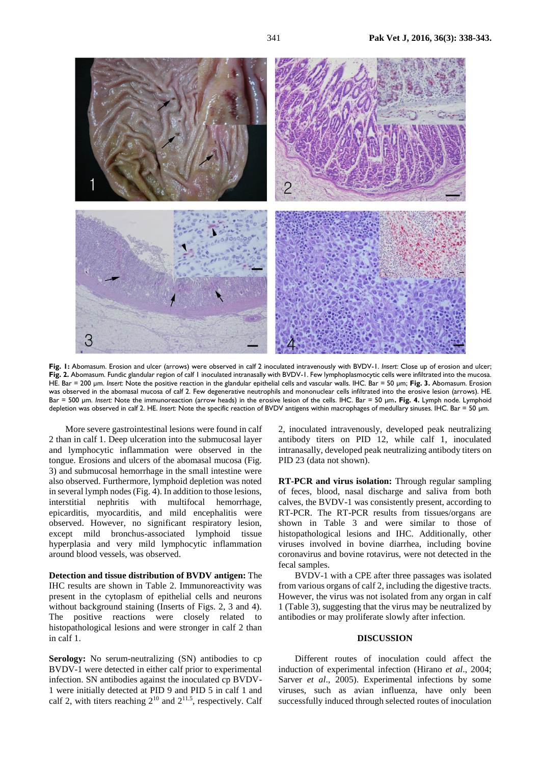

**Fig. 1:** Abomasum. Erosion and ulcer (arrows) were observed in calf 2 inoculated intravenously with BVDV-1. *Insert*: Close up of erosion and ulcer; **Fig. 2.** Abomasum. Fundic glandular region of calf 1 inoculated intranasally with BVDV-1. Few lymphoplasmocytic cells were infiltrated into the mucosa. HE. Bar = 200 µm. *Insert*: Note the positive reaction in the glandular epithelial cells and vascular walls. IHC. Bar = 50 µm; **Fig. 3.** Abomasum. Erosion was observed in the abomasal mucosa of calf 2. Few degenerative neutrophils and mononuclear cells infiltrated into the erosive lesion (arrows). HE. Bar = 500 µm. *Insert:* Note the immunoreaction (arrow heads) in the erosive lesion of the cells. IHC. Bar = 50 µm**. Fig. 4.** Lymph node. Lymphoid depletion was observed in calf 2. HE. *Insert:* Note the specific reaction of BVDV antigens within macrophages of medullary sinuses. IHC. Bar = 50 µm.

More severe gastrointestinal lesions were found in calf 2 than in calf 1. Deep ulceration into the submucosal layer and lymphocytic inflammation were observed in the tongue. Erosions and ulcers of the abomasal mucosa (Fig. 3) and submucosal hemorrhage in the small intestine were also observed. Furthermore, lymphoid depletion was noted in several lymph nodes (Fig. 4). In addition to those lesions, interstitial nephritis with multifocal hemorrhage, epicarditis, myocarditis, and mild encephalitis were observed. However, no significant respiratory lesion, except mild bronchus-associated lymphoid tissue hyperplasia and very mild lymphocytic inflammation around blood vessels, was observed.

**Detection and tissue distribution of BVDV antigen:** The IHC results are shown in Table 2. Immunoreactivity was present in the cytoplasm of epithelial cells and neurons without background staining (Inserts of Figs. 2, 3 and 4). The positive reactions were closely related to histopathological lesions and were stronger in calf 2 than in calf 1.

Serology: No serum-neutralizing (SN) antibodies to cp BVDV-1 were detected in either calf prior to experimental infection. SN antibodies against the inoculated cp BVDV-1 were initially detected at PID 9 and PID 5 in calf 1 and calf 2, with titers reaching  $2^{10}$  and  $2^{11.5}$ , respectively. Calf 2, inoculated intravenously, developed peak neutralizing antibody titers on PID 12, while calf 1, inoculated intranasally, developed peak neutralizing antibody titers on PID 23 (data not shown).

**RT-PCR and virus isolation:** Through regular sampling of feces, blood, nasal discharge and saliva from both calves, the BVDV-1 was consistently present, according to RT-PCR. The RT-PCR results from tissues/organs are shown in Table 3 and were similar to those of histopathological lesions and IHC. Additionally, other viruses involved in bovine diarrhea, including bovine coronavirus and bovine rotavirus, were not detected in the fecal samples.

BVDV-1 with a CPE after three passages was isolated from various organs of calf 2, including the digestive tracts. However, the virus was not isolated from any organ in calf 1 (Table 3), suggesting that the virus may be neutralized by antibodies or may proliferate slowly after infection.

#### **DISCUSSION**

Different routes of inoculation could affect the induction of experimental infection (Hirano *et al*., 2004; Sarver *et al*., 2005). Experimental infections by some viruses, such as avian influenza, have only been successfully induced through selected routes of inoculation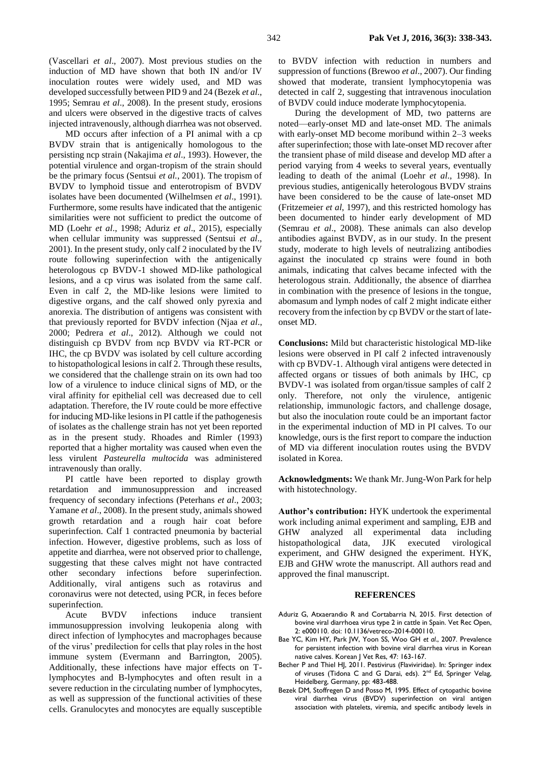(Vascellari *et al*., 2007). Most previous studies on the induction of MD have shown that both IN and/or IV inoculation routes were widely used, and MD was developed successfully between PID 9 and 24 (Bezek *et al*., 1995; Semrau *et al*., 2008). In the present study, erosions and ulcers were observed in the digestive tracts of calves injected intravenously, although diarrhea was not observed.

MD occurs after infection of a PI animal with a cp BVDV strain that is antigenically homologous to the persisting ncp strain (Nakajima *et al*., 1993). However, the potential virulence and organ-tropism of the strain should be the primary focus (Sentsui *et al.*, 2001). The tropism of BVDV to lymphoid tissue and enterotropism of BVDV isolates have been documented (Wilhelmsen *et al*., 1991). Furthermore, some results have indicated that the antigenic similarities were not sufficient to predict the outcome of MD (Loehr *et al*., 1998; Aduriz *et al*., 2015), especially when cellular immunity was suppressed (Sentsui *et al*., 2001). In the present study, only calf 2 inoculated by the IV route following superinfection with the antigenically heterologous cp BVDV-1 showed MD-like pathological lesions, and a cp virus was isolated from the same calf. Even in calf 2, the MD-like lesions were limited to digestive organs, and the calf showed only pyrexia and anorexia. The distribution of antigens was consistent with that previously reported for BVDV infection (Njaa *et al*., 2000; Pedrera *et al*., 2012). Although we could not distinguish cp BVDV from ncp BVDV via RT-PCR or IHC, the cp BVDV was isolated by cell culture according to histopathological lesions in calf 2. Through these results, we considered that the challenge strain on its own had too low of a virulence to induce clinical signs of MD, or the viral affinity for epithelial cell was decreased due to cell adaptation. Therefore, the IV route could be more effective for inducing MD-like lesions in PI cattle if the pathogenesis of isolates as the challenge strain has not yet been reported as in the present study. Rhoades and Rimler (1993) reported that a higher mortality was caused when even the less virulent *Pasteurella multocida* was administered intravenously than orally.

PI cattle have been reported to display growth retardation and immunosuppression and increased frequency of secondary infections (Peterhans *et al*., 2003; Yamane *et al*., 2008). In the present study, animals showed growth retardation and a rough hair coat before superinfection. Calf 1 contracted pneumonia by bacterial infection. However, digestive problems, such as loss of appetite and diarrhea, were not observed prior to challenge, suggesting that these calves might not have contracted other secondary infections before superinfection. Additionally, viral antigens such as rotavirus and coronavirus were not detected, using PCR, in feces before superinfection.

Acute BVDV infections induce transient immunosuppression involving leukopenia along with direct infection of lymphocytes and macrophages because of the virus' predilection for cells that play roles in the host immune system (Evermann and Barrington, 2005). Additionally, these infections have major effects on Tlymphocytes and B-lymphocytes and often result in a severe reduction in the circulating number of lymphocytes, as well as suppression of the functional activities of these cells. Granulocytes and monocytes are equally susceptible

to BVDV infection with reduction in numbers and suppression of functions (Brewoo *et al*., 2007). Our finding showed that moderate, transient lymphocytopenia was detected in calf 2, suggesting that intravenous inoculation of BVDV could induce moderate lymphocytopenia.

During the development of MD, two patterns are noted—early-onset MD and late-onset MD. The animals with early-onset MD become moribund within 2–3 weeks after superinfection; those with late-onset MD recover after the transient phase of mild disease and develop MD after a period varying from 4 weeks to several years, eventually leading to death of the animal (Loehr *et al*., 1998). In previous studies, antigenically heterologous BVDV strains have been considered to be the cause of late-onset MD (Fritzemeier *et al*, 1997), and this restricted homology has been documented to hinder early development of MD (Semrau *et al*., 2008). These animals can also develop antibodies against BVDV, as in our study. In the present study, moderate to high levels of neutralizing antibodies against the inoculated cp strains were found in both animals, indicating that calves became infected with the heterologous strain. Additionally, the absence of diarrhea in combination with the presence of lesions in the tongue, abomasum and lymph nodes of calf 2 might indicate either recovery from the infection by cp BVDV or the start of lateonset MD.

**Conclusions:** Mild but characteristic histological MD-like lesions were observed in PI calf 2 infected intravenously with cp BVDV-1. Although viral antigens were detected in affected organs or tissues of both animals by IHC, cp BVDV-1 was isolated from organ/tissue samples of calf 2 only. Therefore, not only the virulence, antigenic relationship, immunologic factors, and challenge dosage, but also the inoculation route could be an important factor in the experimental induction of MD in PI calves. To our knowledge, ours is the first report to compare the induction of MD via different inoculation routes using the BVDV isolated in Korea.

**Acknowledgments:** We thank Mr. Jung-Won Park for help with histotechnology.

**Author's contribution:** HYK undertook the experimental work including animal experiment and sampling, EJB and GHW analyzed all experimental data including histopathological data, JJK executed virological experiment, and GHW designed the experiment. HYK, EJB and GHW wrote the manuscript. All authors read and approved the final manuscript.

#### **REFERENCES**

- Aduriz G, Atxaerandio R and Cortabarria N, 2015. First detection of bovine viral diarrhoea virus type 2 in cattle in Spain. Vet Rec Open, 2: e000110. doi: 10.1136/vetreco-2014-000110.
- Bae YC, Kim HY, Park JW, Yoon SS, Woo GH *et al*., 2007. Prevalence for persistent infection with bovine viral diarrhea virus in Korean native calves. Korean J Vet Res, 47: 163-167.
- Becher P and Thiel HJ, 2011. Pestivirus (Flaviviridae). In: Springer index of viruses (Tidona C and G Darai, eds). 2<sup>nd</sup> Ed, Springer Velag, Heidelberg, Germany, pp: 483-488.
- Bezek DM, Stoffregen D and Posso M, 1995. Effect of cytopathic bovine viral diarrhea virus (BVDV) superinfection on viral antigen association with platelets, viremia, and specific antibody levels in